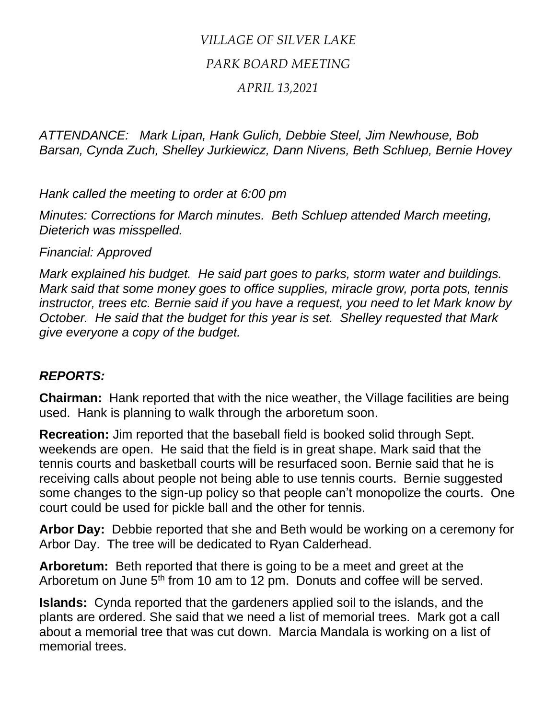## *VILLAGE OF SILVER LAKE*

## *PARK BOARD MEETING*

## *APRIL 13,2021*

*ATTENDANCE: Mark Lipan, Hank Gulich, Debbie Steel, Jim Newhouse, Bob Barsan, Cynda Zuch, Shelley Jurkiewicz, Dann Nivens, Beth Schluep, Bernie Hovey*

*Hank called the meeting to order at 6:00 pm*

*Minutes: Corrections for March minutes. Beth Schluep attended March meeting, Dieterich was misspelled.*

*Financial: Approved*

*Mark explained his budget. He said part goes to parks, storm water and buildings. Mark said that some money goes to office supplies, miracle grow, porta pots, tennis instructor, trees etc. Bernie said if you have a request, you need to let Mark know by October. He said that the budget for this year is set. Shelley requested that Mark give everyone a copy of the budget.*

## *REPORTS:*

**Chairman:** Hank reported that with the nice weather, the Village facilities are being used. Hank is planning to walk through the arboretum soon.

**Recreation:** Jim reported that the baseball field is booked solid through Sept. weekends are open. He said that the field is in great shape. Mark said that the tennis courts and basketball courts will be resurfaced soon. Bernie said that he is receiving calls about people not being able to use tennis courts. Bernie suggested some changes to the sign-up policy so that people can't monopolize the courts. One court could be used for pickle ball and the other for tennis.

**Arbor Day:** Debbie reported that she and Beth would be working on a ceremony for Arbor Day. The tree will be dedicated to Ryan Calderhead.

**Arboretum:** Beth reported that there is going to be a meet and greet at the Arboretum on June  $5<sup>th</sup>$  from 10 am to 12 pm. Donuts and coffee will be served.

**Islands:** Cynda reported that the gardeners applied soil to the islands, and the plants are ordered. She said that we need a list of memorial trees. Mark got a call about a memorial tree that was cut down. Marcia Mandala is working on a list of memorial trees.